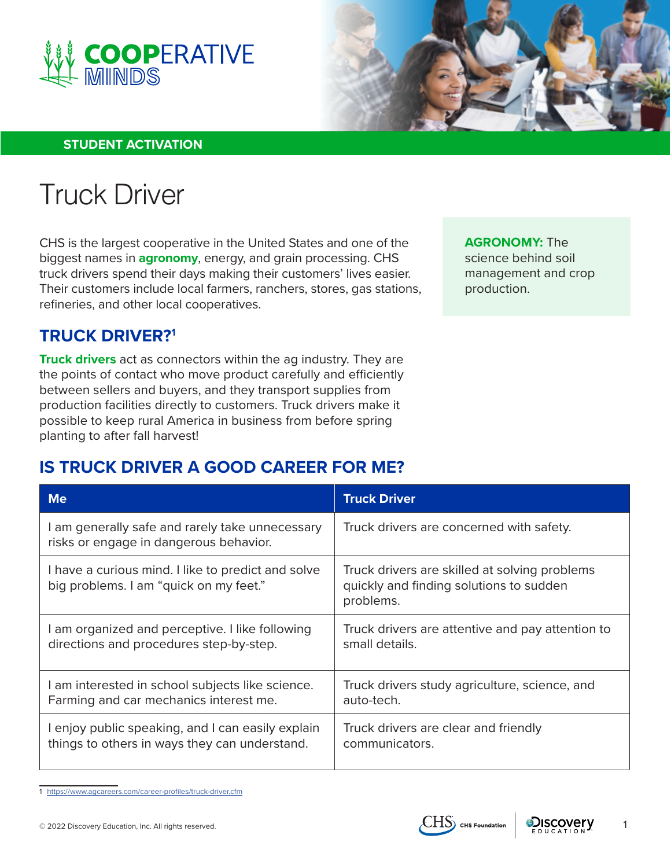



### **STUDENT ACTIVATION**

# Truck Driver

CHS is the largest cooperative in the United States and one of the biggest names in **agronomy**, energy, and grain processing. CHS truck drivers spend their days making their customers' lives easier. Their customers include local farmers, ranchers, stores, gas stations, refineries, and other local cooperatives.

**AGRONOMY:** The science behind soil management and crop production.

## **TRUCK DRIVER?1**

**Truck drivers** act as connectors within the ag industry. They are the points of contact who move product carefully and efficiently between sellers and buyers, and they transport supplies from production facilities directly to customers. Truck drivers make it possible to keep rural America in business from before spring planting to after fall harvest!

## **IS TRUCK DRIVER A GOOD CAREER FOR ME?**

| <b>Me</b>                                                                                    | <b>Truck Driver</b>                                                                                   |
|----------------------------------------------------------------------------------------------|-------------------------------------------------------------------------------------------------------|
| I am generally safe and rarely take unnecessary<br>risks or engage in dangerous behavior.    | Truck drivers are concerned with safety.                                                              |
| I have a curious mind. I like to predict and solve<br>big problems. I am "quick on my feet." | Truck drivers are skilled at solving problems<br>quickly and finding solutions to sudden<br>problems. |
| I am organized and perceptive. I like following                                              | Truck drivers are attentive and pay attention to                                                      |
| directions and procedures step-by-step.                                                      | small details.                                                                                        |
| I am interested in school subjects like science.                                             | Truck drivers study agriculture, science, and                                                         |
| Farming and car mechanics interest me.                                                       | auto-tech.                                                                                            |
| I enjoy public speaking, and I can easily explain                                            | Truck drivers are clear and friendly                                                                  |
| things to others in ways they can understand.                                                | communicators.                                                                                        |

1 <https://www.agcareers.com/career-profiles/truck-driver.cfm>